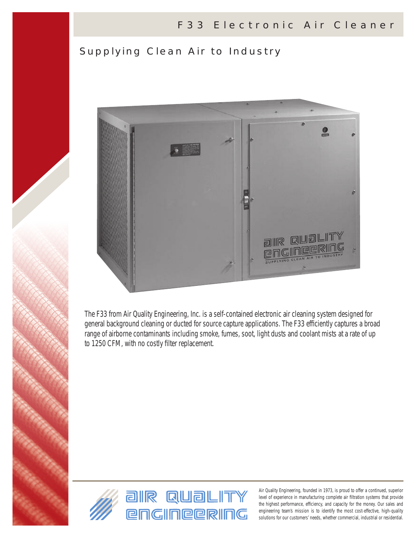# Supplying Clean Air to Industry



The F33 from Air Quality Engineering, Inc. is a self-contained electronic air cleaning system designed for general background cleaning or ducted for source capture applications. The F33 efficiently captures a broad range of airborne contaminants including smoke, fumes, soot, light dusts and coolant mists at a rate of up to 1250 CFM, with no costly filter replacement.

*general background cleaning or ducted for source capture applications.* 

*The F33 efficiently captures a broad range of airborne contaminants including*

*smoke, fumes, soot, light dusts and coolant mists at a rate of up to 1250 cfm,*



Air Quality Engineering, founded in 1973, is proud to offer a continued, superior level of experience in manufacturing complete air filtration systems that provide the highest performance, efficiency, and capacity for the money. Our sales and engineering team's mission is to identify the most cost-effective, high-quality solutions for our customers' needs, whether commercial, industrial or residential.